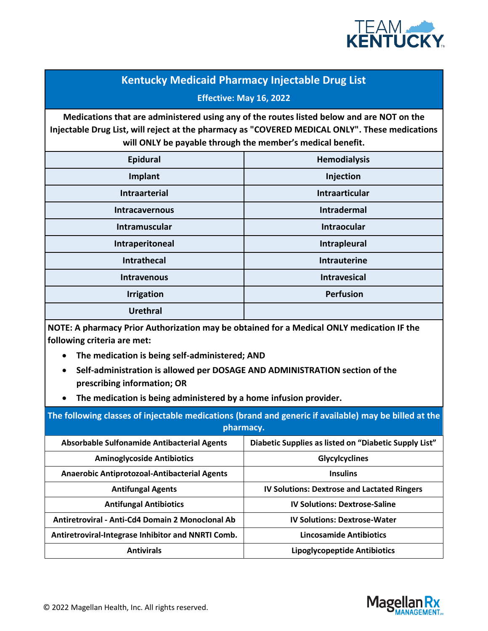

## **Kentucky Medicaid Pharmacy Injectable Drug List Effective: May 16, 2022**

**Medications that are administered using any of the routes listed below and are NOT on the Injectable Drug List, will reject at the pharmacy as "COVERED MEDICAL ONLY". These medications will ONLY be payable through the member's medical benefit.** 

| Epidural              | <b>Hemodialysis</b>   |
|-----------------------|-----------------------|
| Implant               | Injection             |
| <b>Intraarterial</b>  | <b>Intraarticular</b> |
| <b>Intracavernous</b> | <b>Intradermal</b>    |
| Intramuscular         | <b>Intraocular</b>    |
| Intraperitoneal       | Intrapleural          |
| <b>Intrathecal</b>    | <b>Intrauterine</b>   |
| <b>Intravenous</b>    | <b>Intravesical</b>   |
| <b>Irrigation</b>     | <b>Perfusion</b>      |
| <b>Urethral</b>       |                       |

**NOTE: A pharmacy Prior Authorization may be obtained for a Medical ONLY medication IF the following criteria are met:**

- **The medication is being self-administered; AND**
- **Self-administration is allowed per DOSAGE AND ADMINISTRATION section of the prescribing information; OR**
- **The medication is being administered by a home infusion provider.**

**The following classes of injectable medications (brand and generic if available) may be billed at the pharmacy.**

| <b>Absorbable Sulfonamide Antibacterial Agents</b> | Diabetic Supplies as listed on "Diabetic Supply List" |
|----------------------------------------------------|-------------------------------------------------------|
| <b>Aminoglycoside Antibiotics</b>                  | <b>Glycylcyclines</b>                                 |
| Anaerobic Antiprotozoal-Antibacterial Agents       | <b>Insulins</b>                                       |
| <b>Antifungal Agents</b>                           | <b>IV Solutions: Dextrose and Lactated Ringers</b>    |
| <b>Antifungal Antibiotics</b>                      | <b>IV Solutions: Dextrose-Saline</b>                  |
| Antiretroviral - Anti-Cd4 Domain 2 Monoclonal Ab   | <b>IV Solutions: Dextrose-Water</b>                   |
| Antiretroviral-Integrase Inhibitor and NNRTI Comb. | <b>Lincosamide Antibiotics</b>                        |
| <b>Antivirals</b>                                  | Lipoglycopeptide Antibiotics                          |

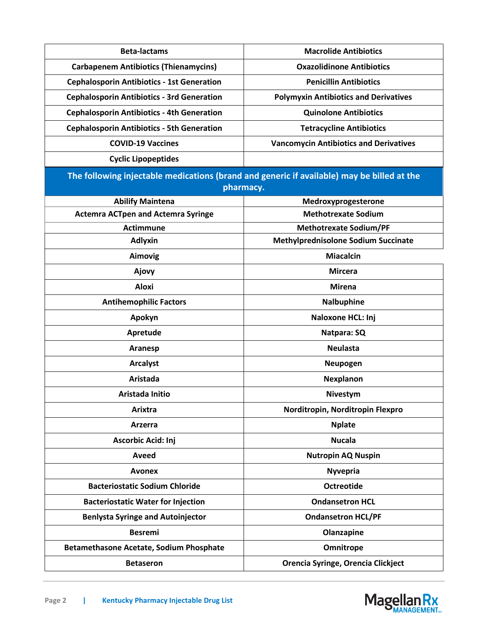| <b>Beta-lactams</b>                                                                        | <b>Macrolide Antibiotics</b>                  |  |
|--------------------------------------------------------------------------------------------|-----------------------------------------------|--|
|                                                                                            |                                               |  |
| <b>Carbapenem Antibiotics (Thienamycins)</b>                                               | <b>Oxazolidinone Antibiotics</b>              |  |
| <b>Cephalosporin Antibiotics - 1st Generation</b>                                          | <b>Penicillin Antibiotics</b>                 |  |
| <b>Cephalosporin Antibiotics - 3rd Generation</b>                                          | <b>Polymyxin Antibiotics and Derivatives</b>  |  |
| <b>Cephalosporin Antibiotics - 4th Generation</b>                                          | <b>Quinolone Antibiotics</b>                  |  |
| <b>Cephalosporin Antibiotics - 5th Generation</b>                                          | <b>Tetracycline Antibiotics</b>               |  |
| <b>COVID-19 Vaccines</b>                                                                   | <b>Vancomycin Antibiotics and Derivatives</b> |  |
| <b>Cyclic Lipopeptides</b>                                                                 |                                               |  |
| The following injectable medications (brand and generic if available) may be billed at the |                                               |  |
|                                                                                            | pharmacy.                                     |  |
| <b>Abilify Maintena</b>                                                                    | Medroxyprogesterone                           |  |
| <b>Actemra ACTpen and Actemra Syringe</b>                                                  | <b>Methotrexate Sodium</b>                    |  |
| <b>Actimmune</b>                                                                           | <b>Methotrexate Sodium/PF</b>                 |  |
| <b>Adlyxin</b>                                                                             | <b>Methylprednisolone Sodium Succinate</b>    |  |
| <b>Aimovig</b>                                                                             | <b>Miacalcin</b>                              |  |
| Ajovy                                                                                      | <b>Mircera</b>                                |  |
| <b>Aloxi</b>                                                                               | <b>Mirena</b>                                 |  |
| <b>Antihemophilic Factors</b>                                                              | Nalbuphine                                    |  |
| Apokyn                                                                                     | Naloxone HCL: Inj                             |  |
| Apretude                                                                                   | Natpara: SQ                                   |  |
| Aranesp                                                                                    | <b>Neulasta</b>                               |  |
| <b>Arcalyst</b>                                                                            | Neupogen                                      |  |
| <b>Aristada</b>                                                                            | Nexplanon                                     |  |
| Aristada Initio                                                                            | <b>Nivestym</b>                               |  |
| Arixtra                                                                                    | Norditropin, Norditropin Flexpro              |  |
| Arzerra                                                                                    | <b>Nplate</b>                                 |  |
| <b>Ascorbic Acid: Inj</b>                                                                  | <b>Nucala</b>                                 |  |
| Aveed                                                                                      | <b>Nutropin AQ Nuspin</b>                     |  |
| <b>Avonex</b>                                                                              | <b>Nyvepria</b>                               |  |
| <b>Bacteriostatic Sodium Chloride</b>                                                      | <b>Octreotide</b>                             |  |
| <b>Bacteriostatic Water for Injection</b>                                                  | <b>Ondansetron HCL</b>                        |  |
| <b>Benlysta Syringe and Autoinjector</b>                                                   | <b>Ondansetron HCL/PF</b>                     |  |
| <b>Besremi</b>                                                                             | Olanzapine                                    |  |
| Betamethasone Acetate, Sodium Phosphate                                                    | Omnitrope                                     |  |
| <b>Betaseron</b>                                                                           | Orencia Syringe, Orencia Clickject            |  |

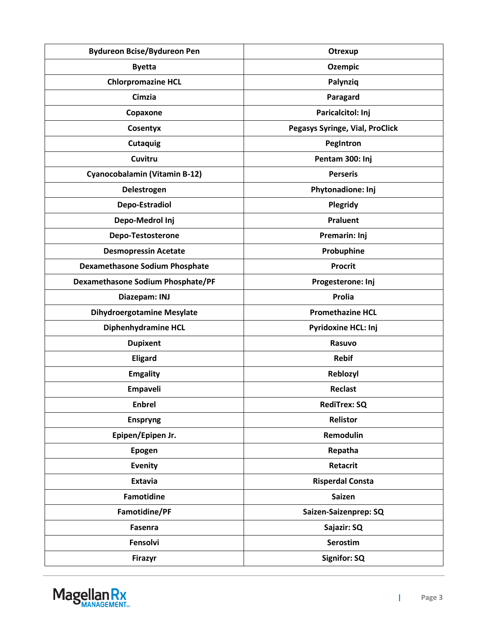| <b>Bydureon Bcise/Bydureon Pen</b>       | Otrexup                         |
|------------------------------------------|---------------------------------|
| <b>Byetta</b>                            | <b>Ozempic</b>                  |
| <b>Chlorpromazine HCL</b>                | Palynziq                        |
| Cimzia                                   | Paragard                        |
| Copaxone                                 | Paricalcitol: Inj               |
| Cosentyx                                 | Pegasys Syringe, Vial, ProClick |
| <b>Cutaquig</b>                          | PegIntron                       |
| Cuvitru                                  | Pentam 300: Inj                 |
| Cyanocobalamin (Vitamin B-12)            | <b>Perseris</b>                 |
| Delestrogen                              | Phytonadione: Inj               |
| Depo-Estradiol                           | Plegridy                        |
| Depo-Medrol Inj                          | <b>Praluent</b>                 |
| Depo-Testosterone                        | Premarin: Inj                   |
| <b>Desmopressin Acetate</b>              | Probuphine                      |
| <b>Dexamethasone Sodium Phosphate</b>    | <b>Procrit</b>                  |
| <b>Dexamethasone Sodium Phosphate/PF</b> | Progesterone: Inj               |
| Diazepam: INJ                            | Prolia                          |
| <b>Dihydroergotamine Mesylate</b>        | <b>Promethazine HCL</b>         |
| Diphenhydramine HCL                      | Pyridoxine HCL: Inj             |
| <b>Dupixent</b>                          | Rasuvo                          |
| <b>Eligard</b>                           | <b>Rebif</b>                    |
| <b>Emgality</b>                          | Reblozyl                        |
| Empaveli                                 | Reclast                         |
| <b>Enbrel</b>                            | <b>RediTrex: SQ</b>             |
| <b>Enspryng</b>                          | Relistor                        |
| Epipen/Epipen Jr.                        | Remodulin                       |
| <b>Epogen</b>                            | Repatha                         |
| <b>Evenity</b>                           | Retacrit                        |
| Extavia                                  | <b>Risperdal Consta</b>         |
| <b>Famotidine</b>                        | <b>Saizen</b>                   |
| Famotidine/PF                            | Saizen-Saizenprep: SQ           |
| Fasenra                                  | Sajazir: SQ                     |
| Fensolvi                                 | Serostim                        |
| <b>Firazyr</b>                           | Signifor: SQ                    |



 $\mathbf{I}$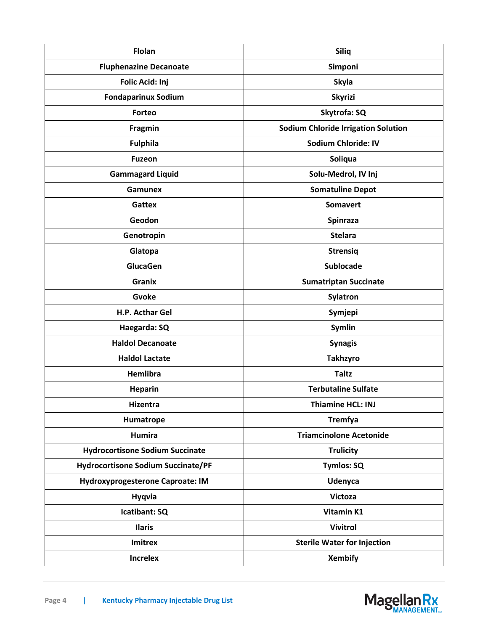| <b>Flolan</b>                             | <b>Siliq</b>                               |
|-------------------------------------------|--------------------------------------------|
| <b>Fluphenazine Decanoate</b>             | Simponi                                    |
| Folic Acid: Inj                           | <b>Skyla</b>                               |
| <b>Fondaparinux Sodium</b>                | <b>Skyrizi</b>                             |
| Forteo                                    | Skytrofa: SQ                               |
| <b>Fragmin</b>                            | <b>Sodium Chloride Irrigation Solution</b> |
| <b>Fulphila</b>                           | <b>Sodium Chloride: IV</b>                 |
| <b>Fuzeon</b>                             | Soliqua                                    |
| <b>Gammagard Liquid</b>                   | Solu-Medrol, IV Inj                        |
| <b>Gamunex</b>                            | <b>Somatuline Depot</b>                    |
| <b>Gattex</b>                             | <b>Somavert</b>                            |
| Geodon                                    | Spinraza                                   |
| Genotropin                                | <b>Stelara</b>                             |
| Glatopa                                   | <b>Strensiq</b>                            |
| GlucaGen                                  | <b>Sublocade</b>                           |
| <b>Granix</b>                             | <b>Sumatriptan Succinate</b>               |
| Gvoke                                     | Sylatron                                   |
| H.P. Acthar Gel                           | Symjepi                                    |
| Haegarda: SQ                              | Symlin                                     |
| <b>Haldol Decanoate</b>                   | <b>Synagis</b>                             |
| <b>Haldol Lactate</b>                     | <b>Takhzyro</b>                            |
| Hemlibra                                  | <b>Taltz</b>                               |
| <b>Heparin</b>                            | <b>Terbutaline Sulfate</b>                 |
| Hizentra                                  | <b>Thiamine HCL: INJ</b>                   |
| Humatrope                                 | <b>Tremfya</b>                             |
| <b>Humira</b>                             | <b>Triamcinolone Acetonide</b>             |
| <b>Hydrocortisone Sodium Succinate</b>    | <b>Trulicity</b>                           |
| <b>Hydrocortisone Sodium Succinate/PF</b> | <b>Tymlos: SQ</b>                          |
| <b>Hydroxyprogesterone Caproate: IM</b>   | <b>Udenyca</b>                             |
| <b>Hyqvia</b>                             | Victoza                                    |
| Icatibant: SQ                             | Vitamin K1                                 |
| <b>Ilaris</b>                             | <b>Vivitrol</b>                            |
| Imitrex                                   | <b>Sterile Water for Injection</b>         |
| <b>Increlex</b>                           | <b>Xembify</b>                             |